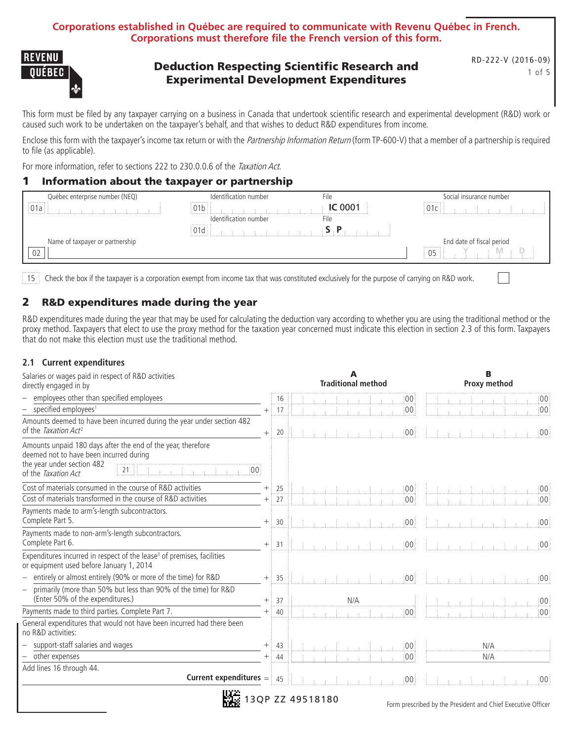#### **Corporations established in Québec are required to communicate with Revenu Québec in French. Corporations must therefore file the French version of this form.**



# Deduction Respecting Scientific Research and Experimental Development Expenditures

RD-222-V (2016-09) 1 of 5

This form must be filed by any taxpayer carrying on a business in Canada that undertook scientific research and experimental development (R&D) work or caused such work to be undertaken on the taxpayer's behalf, and that wishes to deduct R&D expenditures from income.

Enclose this form with the taxpayer's income tax return or with the *Partnership Information Return* (form TP-600-V) that a member of a partnership is required to file (as applicable).

For more information, refer to sections 222 to 230.0.0.6 of the Taxation Act.

#### 1 Information about the taxpayer or partnership

| Québec enterprise number (NEQ)<br>. | Identification number<br>. | File | Social insurance number<br>. |
|-------------------------------------|----------------------------|------|------------------------------|
|                                     |                            | റററ  | $\cap$ : :                   |
|                                     | Identification number<br>  | File |                              |
|                                     |                            |      |                              |
| Name of taxpayer or partnership     |                            |      | End date of fiscal period    |
|                                     |                            |      | .<br>.                       |

Check the box if the taxpayer is a corporation exempt from income tax that was constituted exclusively for the purpose of carrying on R&D work. 15

#### 2 R&D expenditures made during the year

R&D expenditures made during the year that may be used for calculating the deduction vary according to whether you are using the traditional method or the proxy method. Taxpayers that elect to use the proxy method for the taxation year concerned must indicate this election in section 2.3 of this form. Taxpayers that do not make this election must use the traditional method.

#### **2.1 Current expenditures**

| Salaries or wages paid in respect of R&D activities<br>directly engaged in by                                                                                                                                                                                                                                                                                                                                                                                                                                 |        |        |  |  | <b>Traditional method</b> |  |                  |                   |  |  | в   | Proxy method |  |                 |
|---------------------------------------------------------------------------------------------------------------------------------------------------------------------------------------------------------------------------------------------------------------------------------------------------------------------------------------------------------------------------------------------------------------------------------------------------------------------------------------------------------------|--------|--------|--|--|---------------------------|--|------------------|-------------------|--|--|-----|--------------|--|-----------------|
| employees other than specified employees                                                                                                                                                                                                                                                                                                                                                                                                                                                                      |        |        |  |  |                           |  | しょうほうほうほう        | $\frac{100}{100}$ |  |  |     |              |  | :00             |
| specified employees <sup>1</sup>                                                                                                                                                                                                                                                                                                                                                                                                                                                                              |        | $+$ 17 |  |  |                           |  |                  | 00                |  |  |     |              |  | $\frac{1}{2}00$ |
| Amounts deemed to have been incurred during the year under section 482<br>of the <i>Taxation Act<sup>2</sup></i>                                                                                                                                                                                                                                                                                                                                                                                              | $+$    | 20     |  |  |                           |  |                  | 00                |  |  |     |              |  | :00             |
| Amounts unpaid 180 days after the end of the year, therefore<br>deemed not to have been incurred during<br>the year under section 482<br>$21$ $\qquad \qquad$ $\qquad \qquad$ $\qquad$ $\qquad$ $\qquad$ $\qquad$ $\qquad$ $\qquad$ $\qquad$ $\qquad$ $\qquad$ $\qquad$ $\qquad$ $\qquad$ $\qquad$ $\qquad$ $\qquad$ $\qquad$ $\qquad$ $\qquad$ $\qquad$ $\qquad$ $\qquad$ $\qquad$ $\qquad$ $\qquad$ $\qquad$ $\qquad$ $\qquad$ $\qquad$ $\qquad$ $\qquad$ $\qquad$ $\qquad$ $\qquad$<br>of the Taxation Act |        |        |  |  |                           |  |                  |                   |  |  |     |              |  |                 |
| Cost of materials consumed in the course of R&D activities                                                                                                                                                                                                                                                                                                                                                                                                                                                    |        | 25     |  |  |                           |  |                  | 00                |  |  |     |              |  |                 |
| Cost of materials transformed in the course of R&D activities                                                                                                                                                                                                                                                                                                                                                                                                                                                 | $^{+}$ | 27     |  |  |                           |  |                  | 00                |  |  |     |              |  | 00              |
| Payments made to arm's-length subcontractors.<br>Complete Part 5.                                                                                                                                                                                                                                                                                                                                                                                                                                             | $^{+}$ | 30     |  |  |                           |  | $\sim$ $t$ .     | 00                |  |  |     |              |  | :00             |
| Payments made to non-arm's-length subcontractors.<br>Complete Part 6.                                                                                                                                                                                                                                                                                                                                                                                                                                         |        | $+$ 31 |  |  |                           |  | <b>Carl Carl</b> | 00                |  |  |     |              |  | 00              |
| Expenditures incurred in respect of the lease <sup>3</sup> of premises, facilities<br>or equipment used before January 1, 2014                                                                                                                                                                                                                                                                                                                                                                                |        |        |  |  |                           |  |                  |                   |  |  |     |              |  |                 |
| entirely or almost entirely (90% or more of the time) for R&D                                                                                                                                                                                                                                                                                                                                                                                                                                                 |        | 35     |  |  |                           |  |                  | 00                |  |  |     |              |  |                 |
| primarily (more than 50% but less than 90% of the time) for R&D<br>$\qquad \qquad -$<br>(Enter 50% of the expenditures.)                                                                                                                                                                                                                                                                                                                                                                                      | $+$    | 37     |  |  | N/A                       |  |                  |                   |  |  |     |              |  | $\frac{1}{2}00$ |
| Payments made to third parties. Complete Part 7.                                                                                                                                                                                                                                                                                                                                                                                                                                                              | $^{+}$ | 40     |  |  |                           |  |                  | 00                |  |  |     |              |  | 00              |
| General expenditures that would not have been incurred had there been<br>no R&D activities:                                                                                                                                                                                                                                                                                                                                                                                                                   |        |        |  |  |                           |  |                  |                   |  |  |     |              |  |                 |
| support-staff salaries and wages                                                                                                                                                                                                                                                                                                                                                                                                                                                                              | $^+$   | 43     |  |  |                           |  |                  | 00                |  |  | N/A |              |  |                 |
| other expenses                                                                                                                                                                                                                                                                                                                                                                                                                                                                                                | $^{+}$ | 44     |  |  |                           |  |                  | 00                |  |  | N/A |              |  |                 |
| Add lines 16 through 44.                                                                                                                                                                                                                                                                                                                                                                                                                                                                                      |        |        |  |  |                           |  |                  |                   |  |  |     |              |  |                 |
| <b>Current expenditures</b> $=$ 45                                                                                                                                                                                                                                                                                                                                                                                                                                                                            |        |        |  |  |                           |  |                  | $\frac{1}{2}00$   |  |  |     |              |  |                 |
| IIY.A                                                                                                                                                                                                                                                                                                                                                                                                                                                                                                         |        |        |  |  |                           |  |                  |                   |  |  |     |              |  |                 |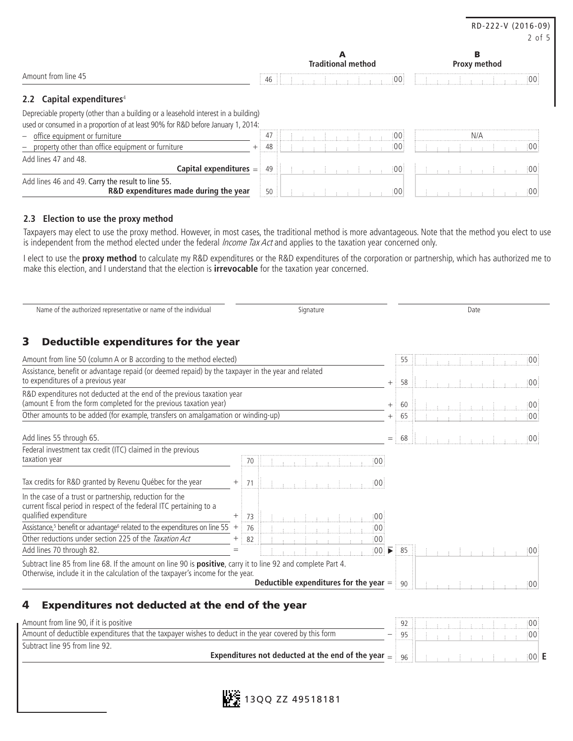2 of 5 **2.2 Capital expenditures**<sup>4</sup> 00 00 Amount from line 45 B **Proxy method** A **Traditional method** 46

RD-222-V (2016-09)

Depreciable property (other than a building or a leasehold interest in a building)

| used or consumed in a proportion of at least 90% for R&D before January 1, 2014: |  |  |  |  |  |                                                                                                                                                              |  |  |  |  |  |  |
|----------------------------------------------------------------------------------|--|--|--|--|--|--------------------------------------------------------------------------------------------------------------------------------------------------------------|--|--|--|--|--|--|
| - office equipment or furniture                                                  |  |  |  |  |  |                                                                                                                                                              |  |  |  |  |  |  |
| - property other than office equipment or furniture                              |  |  |  |  |  |                                                                                                                                                              |  |  |  |  |  |  |
| Add lines 47 and 48.                                                             |  |  |  |  |  |                                                                                                                                                              |  |  |  |  |  |  |
|                                                                                  |  |  |  |  |  |                                                                                                                                                              |  |  |  |  |  |  |
| Add lines 46 and 49. Carry the result to line 55.                                |  |  |  |  |  |                                                                                                                                                              |  |  |  |  |  |  |
| R&D expenditures made during the year                                            |  |  |  |  |  | $\frac{1}{2}$ 50 $\frac{1}{2}$ is a set of a set of a set $\frac{1}{2}$ (00 $\frac{1}{2}$ is a set of a set of a set $\frac{1}{2}$ is a set of $\frac{1}{2}$ |  |  |  |  |  |  |

#### **2.3 Election to use the proxy method**

Taxpayers may elect to use the proxy method. However, in most cases, the traditional method is more advantageous. Note that the method you elect to use is independent from the method elected under the federal *Income Tax Act* and applies to the taxation year concerned only.

I elect to use the **proxy method** to calculate my R&D expenditures or the R&D expenditures of the corporation or partnership, which has authorized me to make this election, and I understand that the election is **irrevocable** for the taxation year concerned.

| Name of the authorized representative or name of the individual                                                                                                                                  |        |                                              |  |  | Signature |  |             |                                          |       |                  |  |  | Date |                   |  |     |
|--------------------------------------------------------------------------------------------------------------------------------------------------------------------------------------------------|--------|----------------------------------------------|--|--|-----------|--|-------------|------------------------------------------|-------|------------------|--|--|------|-------------------|--|-----|
| 3<br>Deductible expenditures for the year                                                                                                                                                        |        |                                              |  |  |           |  |             |                                          |       |                  |  |  |      |                   |  |     |
| Amount from line 50 (column A or B according to the method elected)                                                                                                                              |        |                                              |  |  |           |  |             |                                          |       | 55               |  |  |      | a a france france |  |     |
| Assistance, benefit or advantage repaid (or deemed repaid) by the taxpayer in the year and related<br>to expenditures of a previous year                                                         |        |                                              |  |  |           |  |             |                                          | $+$ : | 58               |  |  |      |                   |  | 00. |
| R&D expenditures not deducted at the end of the previous taxation year<br>(amount E from the form completed for the previous taxation year)                                                      |        |                                              |  |  |           |  |             |                                          |       | $\frac{1}{2}$ 60 |  |  |      |                   |  | :00 |
| Other amounts to be added (for example, transfers on amalgamation or winding-up)                                                                                                                 |        |                                              |  |  |           |  |             |                                          |       | 65               |  |  |      |                   |  | :00 |
| Add lines 55 through 65.                                                                                                                                                                         |        |                                              |  |  |           |  |             |                                          |       | $=$ 68           |  |  |      | der britting      |  | 00  |
| Federal investment tax credit (ITC) claimed in the previous<br>taxation year                                                                                                                     |        | 70                                           |  |  |           |  | fan Fan Fan |                                          |       |                  |  |  |      |                   |  |     |
| Tax credits for R&D granted by Revenu Québec for the year                                                                                                                                        |        | $+$ 71 $\pm$ 1 $\pm$ 1 $\pm$ 1 $\pm$ 1 $\pm$ |  |  |           |  |             | 00 <sup>1</sup>                          |       |                  |  |  |      |                   |  |     |
| In the case of a trust or partnership, reduction for the<br>current fiscal period in respect of the federal ITC pertaining to a<br>qualified expenditure                                         | $^{+}$ | $\frac{1}{2}$ 73                             |  |  |           |  |             | :00                                      |       |                  |  |  |      |                   |  |     |
| Assistance, <sup>5</sup> benefit or advantage <sup>6</sup> related to the expenditures on line 55 $+$                                                                                            |        | 76                                           |  |  |           |  |             | :00                                      |       |                  |  |  |      |                   |  |     |
| Other reductions under section 225 of the Taxation Act                                                                                                                                           | $^{+}$ | 82                                           |  |  |           |  |             | :00                                      |       |                  |  |  |      |                   |  |     |
| Add lines 70 through 82.                                                                                                                                                                         | $=$    |                                              |  |  |           |  |             | $00\overline{)}$                         |       | 85               |  |  |      |                   |  | 00  |
| Subtract line 85 from line 68. If the amount on line 90 is positive, carry it to line 92 and complete Part 4.<br>Otherwise, include it in the calculation of the taxpayer's income for the year. |        |                                              |  |  |           |  |             | Deductible expenditures for the year $=$ |       | -90              |  |  |      |                   |  | :00 |

### 4 Expenditures not deducted at the end of the year

| Amount from line 90, if it is positive                                                                |  |  |  |  |  |  |                                        |
|-------------------------------------------------------------------------------------------------------|--|--|--|--|--|--|----------------------------------------|
| Amount of deductible expenditures that the taxpayer wishes to deduct in the year covered by this form |  |  |  |  |  |  | . The set of the set of $ 00\rangle$ , |
| Subtract line 95 from line 92.                                                                        |  |  |  |  |  |  |                                        |
| Expenditures not deducted at the end of the year $=$ $\frac{1}{96}$                                   |  |  |  |  |  |  |                                        |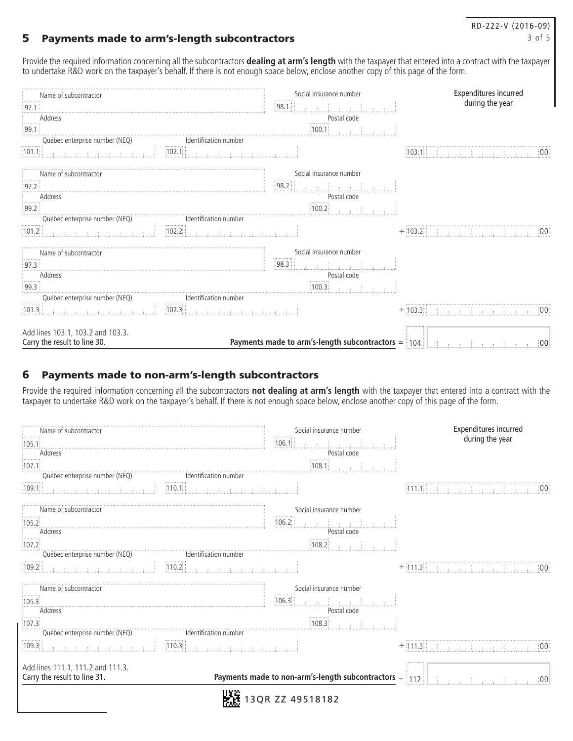# RD-222-V (2016-09)

#### **5 Payments made to arm's-length subcontractors Substitution 2** and 3 of 5 3 of 5

Provide the required information concerning all the subcontractors **dealing at arm's length** with the taxpayer that entered into a contract with the taxpayer to undertake R&D work on the taxpayer's behalf. If there is not enough space below, enclose another copy of this page of the form.

| 2.<br>97.1        | Name of subcontractor                                             | Social insurance number<br><br>98.1                  | Expenditures incurred<br>during the year                        |
|-------------------|-------------------------------------------------------------------|------------------------------------------------------|-----------------------------------------------------------------|
|                   | Address                                                           | Postal code                                          |                                                                 |
| ,<br>99.1         |                                                                   | .<br>100.1                                           |                                                                 |
|                   | Québec enterprise number (NEQ)                                    | Identification number                                |                                                                 |
| $\frac{1}{101.1}$ | $\overline{102.1}$                                                | control and a state of the                           | 103.1<br>$\frac{1}{2}00$<br>建立法 医细胞的 美国                         |
|                   | Name of subcontractor                                             | Social insurance number                              |                                                                 |
| 2.<br>97.2        |                                                                   | .<br>98.2                                            |                                                                 |
| ;                 | Address                                                           | Postal code<br>.                                     |                                                                 |
| 99.2              |                                                                   | 100.2                                                |                                                                 |
| ,,,,,,,,,,        | Québec enterprise number (NEQ)                                    | Identification number                                |                                                                 |
| 101.2             | 102.2                                                             |                                                      | $+103.2$<br>$ 00\rangle$<br>ほうしゅうしゅう はいしゅうしゅ<br>de la distritta |
|                   | Name of subcontractor                                             | Social insurance number<br>.                         |                                                                 |
| 97.3              |                                                                   | 98.3                                                 |                                                                 |
| ,,,,,,,,,,        | Address                                                           | Postal code<br>.                                     |                                                                 |
| 99.3              |                                                                   | 100.3                                                |                                                                 |
| ,,,,,,,,,,,       | Québec enterprise number (NEQ)                                    | Identification number                                |                                                                 |
| 101.3             | $\boxed{102.3}$                                                   | $\sim 100$                                           | $+103.3$<br>$\frac{1}{2}00$<br>and the state of the state       |
|                   | Add lines 103.1, 103.2 and 103.3.<br>Carry the result to line 30. | Payments made to arm's-length subcontractors = $104$ | :00                                                             |

#### 6 Payments made to non-arm's-length subcontractors

Provide the required information concerning all the subcontractors **not dealing at arm's length** with the taxpayer that entered into a contract with the taxpayer to undertake R&D work on the taxpayer's behalf. If there is not enough space below, enclose another copy of this page of the form.

| Name of subcontractor                                                                                                                                                                                                                                                 | Social insurance number                                  | Expenditures incurred                              |
|-----------------------------------------------------------------------------------------------------------------------------------------------------------------------------------------------------------------------------------------------------------------------|----------------------------------------------------------|----------------------------------------------------|
| [105.1]                                                                                                                                                                                                                                                               | 106.1                                                    | during the year                                    |
| Address<br>.                                                                                                                                                                                                                                                          | Postal code<br>.                                         |                                                    |
| 107.1                                                                                                                                                                                                                                                                 | 108.1                                                    |                                                    |
| Identification number<br>Québec enterprise number (NEQ)<br>.                                                                                                                                                                                                          |                                                          |                                                    |
| $\boxed{110.1}$<br> 109.1                                                                                                                                                                                                                                             |                                                          | 111.1 1 1 1 1 1 1 1 1 1 1 1 1 1<br>$\frac{1}{2}00$ |
| Name of subcontractor                                                                                                                                                                                                                                                 | Social insurance number                                  |                                                    |
| [105.2]                                                                                                                                                                                                                                                               | 106.2                                                    |                                                    |
| Address<br>ţ.                                                                                                                                                                                                                                                         | Postal code<br>.                                         |                                                    |
| [107.2]                                                                                                                                                                                                                                                               | 108.2                                                    |                                                    |
| Manufacture de la Communication de la Communication de la Communication de la Communication de la Communication de la Communication de la Communication de la Communication de la Communication de la Communication de la Comm<br>Québec enterprise number (NEQ)<br>. |                                                          |                                                    |
| 110.2<br> 109.2                                                                                                                                                                                                                                                       |                                                          | $+111.2$<br>:00                                    |
| Name of subcontractor<br> <br> <br>                                                                                                                                                                                                                                   | Social insurance number<br>,,,,,,,,,,,                   |                                                    |
| 105.3                                                                                                                                                                                                                                                                 | 106.3<br>at a familia<br>$\sim$ 10                       |                                                    |
| Address<br>;                                                                                                                                                                                                                                                          | Postal code<br>,,,,,,,,,,,                               |                                                    |
| 107.3                                                                                                                                                                                                                                                                 | 108.3                                                    |                                                    |
| Québec enterprise number (NEQ)<br>Identification number                                                                                                                                                                                                               |                                                          |                                                    |
| 109.3<br>$\frac{1}{10.3}$                                                                                                                                                                                                                                             |                                                          | 11.3<br>:00                                        |
| Add lines 111.1, 111.2 and 111.3.<br>Carry the result to line 31.                                                                                                                                                                                                     | Payments made to non-arm's-length subcontractors $=$ 112 | 00                                                 |
|                                                                                                                                                                                                                                                                       | 13QR ZZ 49518182                                         |                                                    |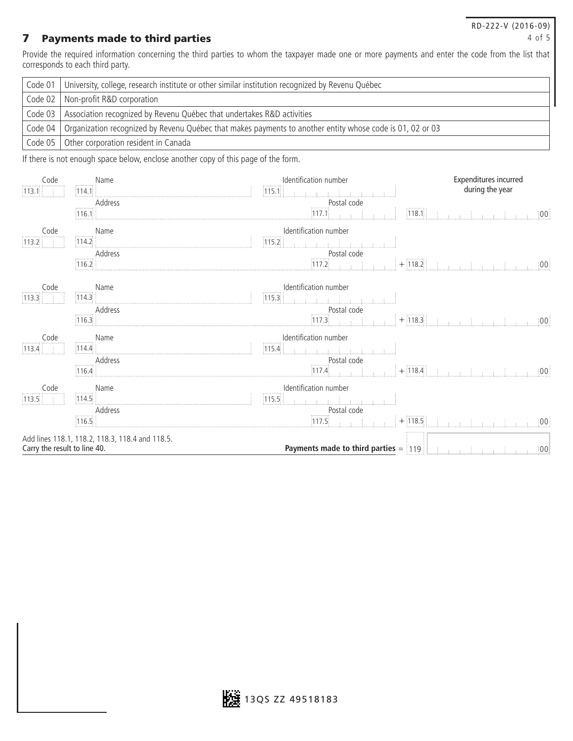# RD-222-V (2016-09)

# 7 Payments made to third parties 4 of 5

Provide the required information concerning the third parties to whom the taxpayer made one or more payments and enter the code from the list that corresponds to each third party.

| Code 01   University, college, research institute or other similar institution recognized by Revenu Québec          |
|---------------------------------------------------------------------------------------------------------------------|
| Code 02   Non-profit R&D corporation                                                                                |
| Code 03   Association recognized by Revenu Québec that undertakes R&D activities                                    |
| Code 04   Organization recognized by Revenu Québec that makes payments to another entity whose code is 01, 02 or 03 |
| Code 05   Other corporation resident in Canada                                                                      |

If there is not enough space below, enclose another copy of this page of the form.

| Code<br>[113.1]                                                     | Name<br> 114.1                                               | Identification number<br>115.1                                                                                                                                                                                                                                                                                                                                                                                                         | Expenditures incurred<br>during the year                                                                |
|---------------------------------------------------------------------|--------------------------------------------------------------|----------------------------------------------------------------------------------------------------------------------------------------------------------------------------------------------------------------------------------------------------------------------------------------------------------------------------------------------------------------------------------------------------------------------------------------|---------------------------------------------------------------------------------------------------------|
|                                                                     | Address<br> 116.1 <br>                                       | Postal code<br>$\begin{array}{ c c c }\n\hline\n117.1 & 1\n\end{array}$<br>in an E                                                                                                                                                                                                                                                                                                                                                     | $118.1$ $\frac{1}{2}$<br>$\pm 00$                                                                       |
| Code<br> 113.2                                                      | Name<br>$\cdots \cdots \cdots \cdots$<br> 114.2              | $\begin{tabular}{c c} \hline \multicolumn{2}{c}{\textbf{Identity}} \\ \hline \multicolumn{2}{c}{\textbf{Identification number}} \\ \hline \end{tabular}$<br><u> mannan ann an 1976. Tha an t-</u>                                                                                                                                                                                                                                      |                                                                                                         |
|                                                                     | Address<br> 116.2 116.2                                      | Postal code<br>[117.2]                                                                                                                                                                                                                                                                                                                                                                                                                 | $\frac{1}{2}$ + $\frac{1}{2}$ 118.2 $\frac{1}{2}$ + $\frac{1}{2}$ + $\frac{1}{2}$ + $\frac{1}{2}$<br>00 |
| Code<br>$\begin{array}{ c c }\n\hline\n113.3 & \hline\n\end{array}$ | Name<br>$\begin{array}{ c c c }\n\hline\n114.3\n\end{array}$ | $\frac{1}{2}$ Identification number<br>$\tau$ , and annual magnetic magnetic $\tau$                                                                                                                                                                                                                                                                                                                                                    |                                                                                                         |
|                                                                     | $Address$ $[116.3]$                                          |                                                                                                                                                                                                                                                                                                                                                                                                                                        | $\pm 00$                                                                                                |
| Code<br>113.4                                                       | Name<br>114.4                                                | $\begin{tabular}{c c} \hline \rule[1mm]{1mm}{6mm} \rule[1mm]{1mm}{6mm} \rule[1mm]{1mm}{6mm} \rule[1mm]{1mm}{6mm} \rule[1mm]{1mm}{6mm} \rule[1mm]{1mm}{6mm} \rule[1mm]{1mm}{6mm} \rule[1mm]{1mm}{6mm} \rule[1mm]{1mm}{6mm} \rule[1mm]{1mm}{6mm} \rule[1mm]{1mm}{6mm} \rule[1mm]{1mm}{6mm} \rule[1mm]{1mm}{6mm} \rule[1mm]{1mm}{6mm} \rule[1mm]{1mm}{6mm} \rule[1mm]{1mm}{6mm} \rule[1mm]{1mm}{6mm} \rule[$<br><u>s a característica</u> |                                                                                                         |
|                                                                     | Address<br>116.4                                             | Postal code<br>[117.4]                                                                                                                                                                                                                                                                                                                                                                                                                 | $\frac{1}{100}$ + 118.4<br>Albert B<br>:00:                                                             |
| Code<br>$\begin{array}{ c c }\n\hline\n\hline\n113.5\n\end{array}$  | Name<br>$\frac{1}{2}$ $\frac{1}{2}$<br>114.5<br>Address      | Identification number<br>$\begin{bmatrix} 115.5 \end{bmatrix}$<br><u>aman ama ku amaman a</u>                                                                                                                                                                                                                                                                                                                                          |                                                                                                         |
|                                                                     | $\begin{array}{c}\n116.5\n\end{array}$                       | Postal code<br> 117.5                                                                                                                                                                                                                                                                                                                                                                                                                  | $+ 118.5$<br>00                                                                                         |
| Carry the result to line 40.                                        | Add lines 118.1, 118.2, 118.3, 118.4 and 118.5.              | Payments made to third parties $=$ 119                                                                                                                                                                                                                                                                                                                                                                                                 | The Parties of the Contract<br>$\frac{1}{2}00$                                                          |